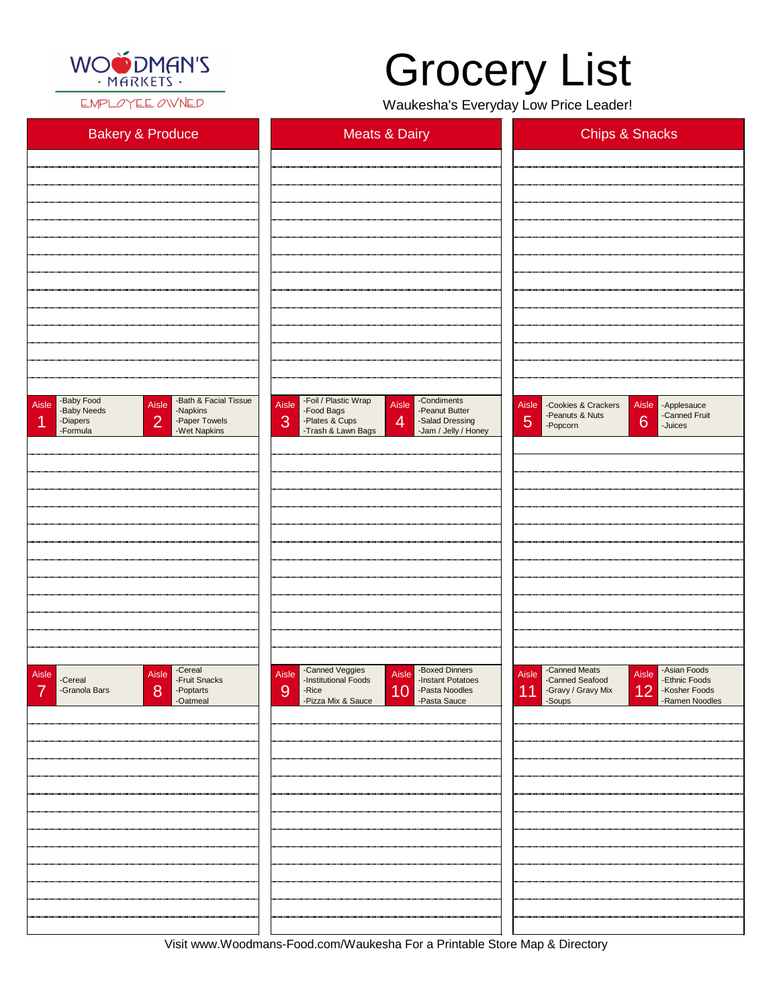

EMPLOYEE OWNED

## Grocery List

Waukesha's Everyday Low Price Leader!

| <b>Bakery &amp; Produce</b>                                                                                                                                      | <b>Meats &amp; Dairy</b>                                                                                                                                                                        | <b>Chips &amp; Snacks</b>                                                                                              |  |
|------------------------------------------------------------------------------------------------------------------------------------------------------------------|-------------------------------------------------------------------------------------------------------------------------------------------------------------------------------------------------|------------------------------------------------------------------------------------------------------------------------|--|
|                                                                                                                                                                  |                                                                                                                                                                                                 |                                                                                                                        |  |
|                                                                                                                                                                  |                                                                                                                                                                                                 |                                                                                                                        |  |
|                                                                                                                                                                  |                                                                                                                                                                                                 |                                                                                                                        |  |
|                                                                                                                                                                  |                                                                                                                                                                                                 |                                                                                                                        |  |
|                                                                                                                                                                  |                                                                                                                                                                                                 |                                                                                                                        |  |
|                                                                                                                                                                  |                                                                                                                                                                                                 |                                                                                                                        |  |
|                                                                                                                                                                  |                                                                                                                                                                                                 |                                                                                                                        |  |
|                                                                                                                                                                  |                                                                                                                                                                                                 |                                                                                                                        |  |
|                                                                                                                                                                  |                                                                                                                                                                                                 |                                                                                                                        |  |
| -Bath & Facial Tissue<br>-Baby Food<br>Aisle<br>Aisle<br>-Baby Needs<br>-Napkins<br>$\overline{2}$<br>-Paper Towels<br>-Diapers<br>и<br>-Formula<br>-Wet Napkins | -Foil / Plastic Wrap<br>-Condiments<br>Aisle<br>Aisle<br>-Peanut Butter<br>-Food Bags<br>3<br>$\overline{4}$<br>-Plates & Cups<br>-Salad Dressing<br>-Trash & Lawn Bags<br>-Jam / Jelly / Honey | Aisle -Applesauce<br>Aisle<br>-Cookies & Crackers<br>-Peanuts & Nuts<br>-Canned Fruit<br>6<br>5<br>-Popcorn<br>-Juices |  |
|                                                                                                                                                                  |                                                                                                                                                                                                 |                                                                                                                        |  |
|                                                                                                                                                                  |                                                                                                                                                                                                 |                                                                                                                        |  |
|                                                                                                                                                                  |                                                                                                                                                                                                 |                                                                                                                        |  |
|                                                                                                                                                                  |                                                                                                                                                                                                 |                                                                                                                        |  |
|                                                                                                                                                                  |                                                                                                                                                                                                 |                                                                                                                        |  |
|                                                                                                                                                                  |                                                                                                                                                                                                 |                                                                                                                        |  |
|                                                                                                                                                                  |                                                                                                                                                                                                 |                                                                                                                        |  |
|                                                                                                                                                                  |                                                                                                                                                                                                 |                                                                                                                        |  |
| -Cereal                                                                                                                                                          | -Boxed Dinners                                                                                                                                                                                  | -Canned Meats<br>-Asian Foods                                                                                          |  |
| Aisle<br>Aisle<br>-Fruit Snacks<br>-Cereal                                                                                                                       | -Canned Veggies<br>-Institutional Foods<br>Aisle<br>Aisle<br>-Instant Potatoes                                                                                                                  | Aisle<br>Aisle<br>-Canned Seafood<br>-Ethnic Foods                                                                     |  |

| -Granola Bars<br>8<br>7<br>-Poptarts<br>-Oatmeal | 9<br>-Rice<br>-Pizza Mix & Sauce | 10 -Pasta Noodles<br>-Pasta Sauce | 11 -Gravy / Gravy Mix 12<br>-Kosher Foods<br>-Ramen Noodles |
|--------------------------------------------------|----------------------------------|-----------------------------------|-------------------------------------------------------------|
|                                                  |                                  |                                   |                                                             |
|                                                  |                                  |                                   |                                                             |
|                                                  |                                  |                                   |                                                             |
|                                                  |                                  |                                   |                                                             |
|                                                  |                                  |                                   |                                                             |
|                                                  |                                  |                                   |                                                             |
|                                                  |                                  |                                   |                                                             |
|                                                  |                                  |                                   |                                                             |
|                                                  |                                  |                                   |                                                             |
|                                                  |                                  |                                   |                                                             |
|                                                  |                                  |                                   |                                                             |

Visit www.Woodmans-Food.com/Waukesha For a Printable Store Map & Directory